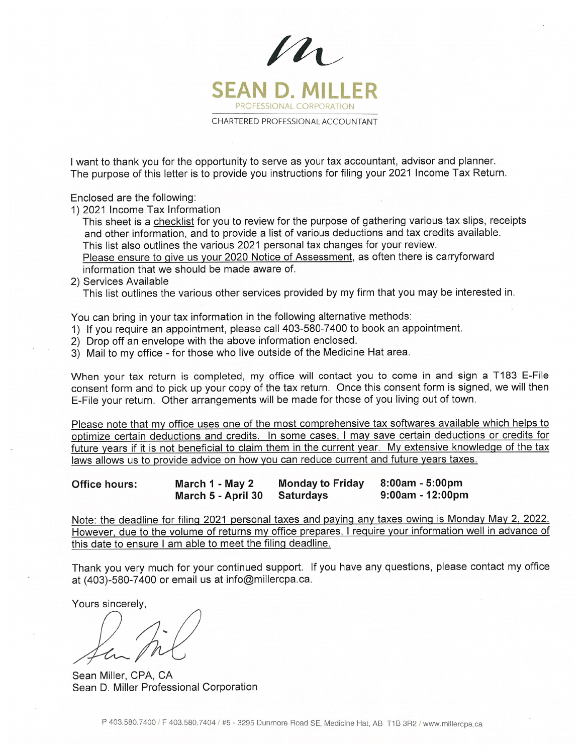

I want to thank you for the opportunity to serve as your tax accountant, advisor and planner. The purpose of this letter is to provide you instructions for filing your 2021 Income Tax Return.

Enclosed are the following:

1) 2021 Income Tax Information

This sheet is a checklist for you to review for the purpose of gathering various tax slips, receipts and other information, and to provide <sup>a</sup> list of various deductions and tax credits available. This list also outlines the various 2021 personal tax changes for your review.

Please ensure to give us your 2020 Notice of Assessment, as often there is carryforward information that we should be made aware of.

2) Services Available

This list outlines the various other services provided by my firm that you may be interested in.

You can bring in your tax information in the following alternative methods:

- 1) If you require an appointment, please call 403-580-7400 to book an appointment.
- 2) Drop off an envelope with the above information enclosed.
- 3) Mail to my office for those who live outside of the Medicine Hat area.

When your tax return is completed, my office will contact you to come in and sign <sup>a</sup> T183 E-File consent form and to pick up your copy of the tax return. Once this consent form is signed, we will then E-File your return. Other arrangements will be made for those of you living out of town.

Please note that my office uses one of the most comprehensive tax softwares available which helps to optimize certain deductions and credits. In some cases, I may save certain deductions or credits for future years if it is not beneficial to claim them in the current year. My extensive knowledge of the tax laws allows us to provide advice on how you can reduce current and future years taxes.

| <b>Office hours:</b> | March 1 - May 2              | Monday to Friday | 8:00am - 5:00pm     |
|----------------------|------------------------------|------------------|---------------------|
|                      | March 5 - April 30 Saturdays |                  | $9:00$ am - 12:00pm |

Note: the deadline for filing 2021 personal taxes and paying any taxes owing is Monday May 2, 2022. However, due to the volume of returns my office prepares, I require your information well in advance of this date to ensure <sup>I</sup> am able to meet the filing deadline.

Thank you very much for your continued support. If you have any questions, please contact my office at (403)-580-7400 or email us at info@millercpa.ca.

Yours sincerely,

Sean Miller, CPA, CA Sean D. Miller Professional Corporation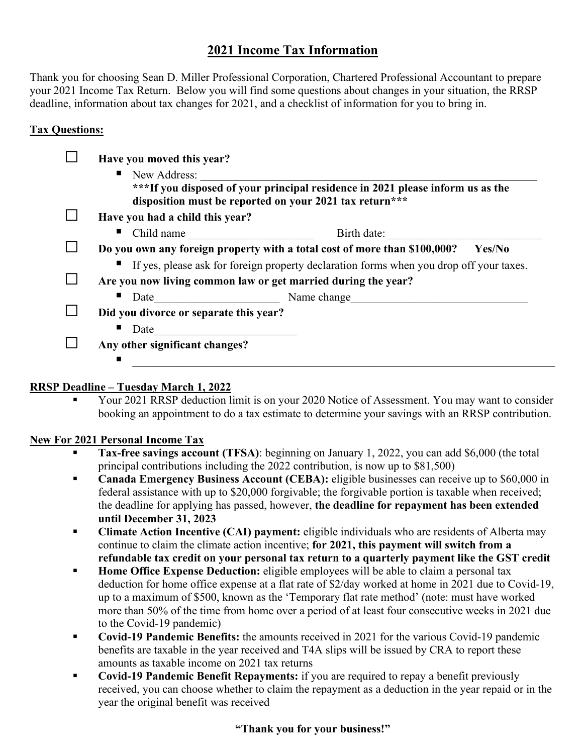# **2021 Income Tax Information**

Thank you for choosing Sean D. Miller Professional Corporation, Chartered Professional Accountant to prepare your 2021 Income Tax Return. Below you will find some questions about changes in your situation, the RRSP deadline, information about tax changes for 2021, and a checklist of information for you to bring in.

### **Tax Questions:**

| New Address:                           | ***If you disposed of your principal residence in 2021 please inform us as the<br>disposition must be reported on your 2021 tax return*** |
|----------------------------------------|-------------------------------------------------------------------------------------------------------------------------------------------|
| Have you had a child this year?        |                                                                                                                                           |
| Child name<br>ш                        | Birth date:                                                                                                                               |
|                                        | Do you own any foreign property with a total cost of more than \$100,000?<br>Yes/No                                                       |
|                                        | If yes, please ask for foreign property declaration forms when you drop off your taxes.                                                   |
|                                        | Are you now living common law or get married during the year?                                                                             |
|                                        | Date Name change                                                                                                                          |
| Did you divorce or separate this year? |                                                                                                                                           |
| Date                                   |                                                                                                                                           |
| Any other significant changes?         |                                                                                                                                           |

### **RRSP Deadline – Tuesday March 1, 2022**

 Your 2021 RRSP deduction limit is on your 2020 Notice of Assessment. You may want to consider booking an appointment to do a tax estimate to determine your savings with an RRSP contribution.

### **New For 2021 Personal Income Tax**

- **Tax-free savings account (TFSA)**: beginning on January 1, 2022, you can add \$6,000 (the total principal contributions including the 2022 contribution, is now up to \$81,500)
- **Canada Emergency Business Account (CEBA):** eligible businesses can receive up to \$60,000 in federal assistance with up to \$20,000 forgivable; the forgivable portion is taxable when received; the deadline for applying has passed, however, **the deadline for repayment has been extended until December 31, 2023**
- **Climate Action Incentive (CAI) payment:** eligible individuals who are residents of Alberta may continue to claim the climate action incentive; **for 2021, this payment will switch from a refundable tax credit on your personal tax return to a quarterly payment like the GST credit**
- **Home Office Expense Deduction:** eligible employees will be able to claim a personal tax deduction for home office expense at a flat rate of \$2/day worked at home in 2021 due to Covid-19, up to a maximum of \$500, known as the 'Temporary flat rate method' (note: must have worked more than 50% of the time from home over a period of at least four consecutive weeks in 2021 due to the Covid-19 pandemic)
- **Covid-19 Pandemic Benefits:** the amounts received in 2021 for the various Covid-19 pandemic benefits are taxable in the year received and T4A slips will be issued by CRA to report these amounts as taxable income on 2021 tax returns
- **Covid-19 Pandemic Benefit Repayments:** if you are required to repay a benefit previously received, you can choose whether to claim the repayment as a deduction in the year repaid or in the year the original benefit was received

### **"Thank you for your business!"**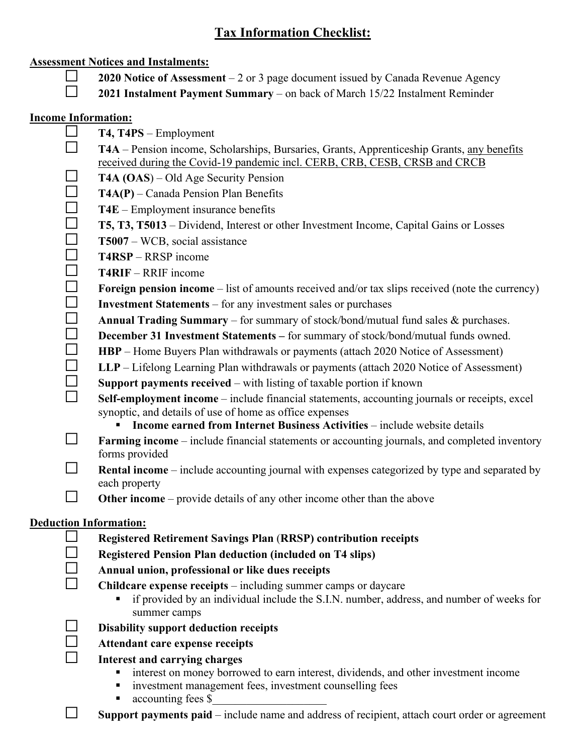# **Tax Information Checklist:**

### **Assessment Notices and Instalments:**

- **2020 Notice of Assessment** 2 or 3 page document issued by Canada Revenue Agency
- **2021 Instalment Payment Summary** on back of March 15/22 Instalment Reminder

### **Income Information:**

- $\Box$  **T4, T4PS** Employment **T4A** – Pension income, Scholarships, Bursaries, Grants, Apprenticeship Grants, any benefits received during the Covid-19 pandemic incl. CERB, CRB, CESB, CRSB and CRCB
	- **T4A (OAS)** Old Age Security Pension
	- $\Box$  **T4A(P)** Canada Pension Plan Benefits
	- $\Box$  **T4E** Employment insurance benefits
	- **T5, T3, T5013** Dividend, Interest or other Investment Income, Capital Gains or Losses
	- $\Box$  **T5007** WCB, social assistance
	- $\Box$  **T4RSP** RRSP income
	- **T4RIF**  RRIF income
	- **Foreign pension income** list of amounts received and/or tax slips received (note the currency)
	- **Investment Statements** for any investment sales or purchases
	- **Annual Trading Summary** for summary of stock/bond/mutual fund sales  $\&$  purchases.
	- **December 31 Investment Statements –** for summary of stock/bond/mutual funds owned.
	- $\Box$  **HBP** Home Buyers Plan withdrawals or payments (attach 2020 Notice of Assessment)
	- $\Box$  LLP Lifelong Learning Plan withdrawals or payments (attach 2020 Notice of Assessment)
	- **Support payments received** with listing of taxable portion if known
	- **Self-employment income** include financial statements, accounting journals or receipts, excel synoptic, and details of use of home as office expenses
		- **Income earned from Internet Business Activities** include website details
	- **Farming income** include financial statements or accounting journals, and completed inventory forms provided
	- **Rental income** include accounting journal with expenses categorized by type and separated by each property
	- **Other income** provide details of any other income other than the above

# **Deduction Information:**

- **Registered Retirement Savings Plan** (**RRSP) contribution receipts**
- **Registered Pension Plan deduction (included on T4 slips)**
- **Annual union, professional or like dues receipts**
- **Childcare expense receipts** including summer camps or daycare
	- if provided by an individual include the S.I.N. number, address, and number of weeks for summer camps
- 
- **Disability support deduction receipts**

# **Attendant care expense receipts**

# **Interest and carrying charges**

- interest on money borrowed to earn interest, dividends, and other investment income
- **investment management fees, investment counselling fees**
- accounting fees \$
- $\Box$  **Support payments paid** include name and address of recipient, attach court order or agreement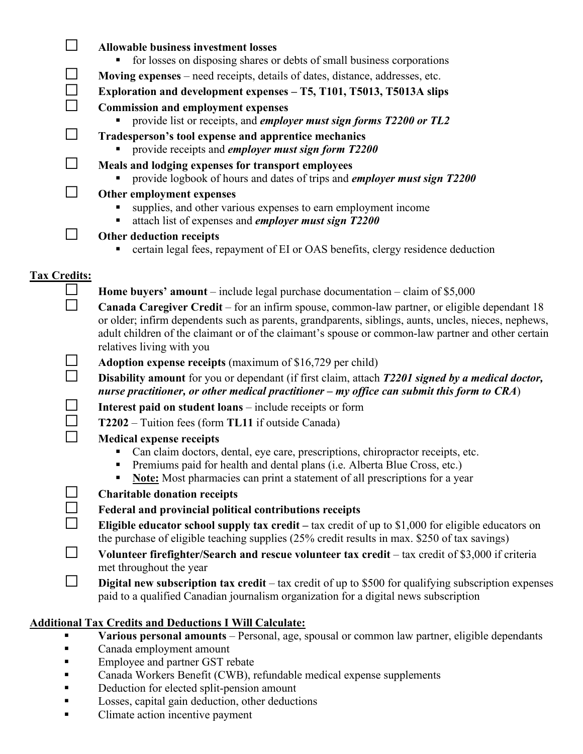| $\Box$              | <b>Allowable business investment losses</b>                                                                                                                                                                                                                                                                                             |
|---------------------|-----------------------------------------------------------------------------------------------------------------------------------------------------------------------------------------------------------------------------------------------------------------------------------------------------------------------------------------|
|                     | for losses on disposing shares or debts of small business corporations                                                                                                                                                                                                                                                                  |
| $\sqcup$            | Moving expenses – need receipts, details of dates, distance, addresses, etc.                                                                                                                                                                                                                                                            |
| $\Box$              | Exploration and development expenses - T5, T101, T5013, T5013A slips                                                                                                                                                                                                                                                                    |
| $\Box$              | <b>Commission and employment expenses</b><br>provide list or receipts, and employer must sign forms T2200 or TL2                                                                                                                                                                                                                        |
| $\Box$              | Tradesperson's tool expense and apprentice mechanics<br>provide receipts and <i>employer must sign form T2200</i>                                                                                                                                                                                                                       |
| M                   | Meals and lodging expenses for transport employees<br>provide logbook of hours and dates of trips and employer must sign T2200                                                                                                                                                                                                          |
| $\Box$              | Other employment expenses<br>supplies, and other various expenses to earn employment income<br>attach list of expenses and employer must sign T2200<br>٠                                                                                                                                                                                |
| $\mathsf{L}$        | Other deduction receipts<br>certain legal fees, repayment of EI or OAS benefits, clergy residence deduction                                                                                                                                                                                                                             |
|                     |                                                                                                                                                                                                                                                                                                                                         |
| <b>Tax Credits:</b> |                                                                                                                                                                                                                                                                                                                                         |
|                     | <b>Home buyers' amount</b> – include legal purchase documentation – claim of $$5,000$                                                                                                                                                                                                                                                   |
| П                   | Canada Caregiver Credit – for an infirm spouse, common-law partner, or eligible dependant 18<br>or older; infirm dependents such as parents, grandparents, siblings, aunts, uncles, nieces, nephews,<br>adult children of the claimant or of the claimant's spouse or common-law partner and other certain<br>relatives living with you |
|                     | <b>Adoption expense receipts</b> (maximum of \$16,729 per child)                                                                                                                                                                                                                                                                        |
|                     | Disability amount for you or dependant (if first claim, attach T2201 signed by a medical doctor,<br>nurse practitioner, or other medical practitioner – my office can submit this form to $CRA$ )                                                                                                                                       |
|                     | Interest paid on student loans - include receipts or form                                                                                                                                                                                                                                                                               |
|                     | T2202 – Tuition fees (form TL11 if outside Canada)                                                                                                                                                                                                                                                                                      |
|                     | <b>Medical expense receipts</b>                                                                                                                                                                                                                                                                                                         |
|                     | Can claim doctors, dental, eye care, prescriptions, chiropractor receipts, etc.<br>٠<br>Premiums paid for health and dental plans (i.e. Alberta Blue Cross, etc.)<br>Е<br>Note: Most pharmacies can print a statement of all prescriptions for a year<br>п                                                                              |
|                     | <b>Charitable donation receipts</b>                                                                                                                                                                                                                                                                                                     |
|                     | Federal and provincial political contributions receipts                                                                                                                                                                                                                                                                                 |
|                     | Eligible educator school supply tax credit $-$ tax credit of up to \$1,000 for eligible educators on<br>the purchase of eligible teaching supplies (25% credit results in max. \$250 of tax savings)                                                                                                                                    |
|                     | Volunteer firefighter/Search and rescue volunteer tax credit - tax credit of \$3,000 if criteria<br>met throughout the year                                                                                                                                                                                                             |
|                     |                                                                                                                                                                                                                                                                                                                                         |

 **Digital new subscription tax credit** – tax credit of up to \$500 for qualifying subscription expenses paid to a qualified Canadian journalism organization for a digital news subscription

# **Additional Tax Credits and Deductions I Will Calculate:**

- **Various personal amounts** Personal, age, spousal or common law partner, eligible dependants
- **Canada employment amount**
- **Employee and partner GST rebate**
- Canada Workers Benefit (CWB), refundable medical expense supplements
- Deduction for elected split-pension amount
- **Losses, capital gain deduction, other deductions**
- **Climate action incentive payment**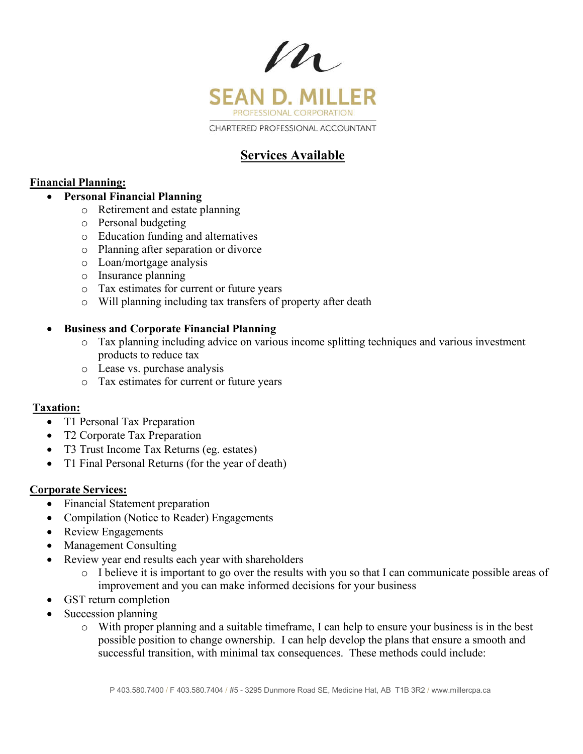

# **Services Available**

# **Financial Planning:**

### **Personal Financial Planning**

- o Retirement and estate planning
- o Personal budgeting
- o Education funding and alternatives
- o Planning after separation or divorce
- o Loan/mortgage analysis
- o Insurance planning
- o Tax estimates for current or future years
- o Will planning including tax transfers of property after death

### **Business and Corporate Financial Planning**

- o Tax planning including advice on various income splitting techniques and various investment products to reduce tax
- o Lease vs. purchase analysis
- o Tax estimates for current or future years

# **Taxation:**

- T1 Personal Tax Preparation
- T2 Corporate Tax Preparation
- T3 Trust Income Tax Returns (eg. estates)
- T1 Final Personal Returns (for the year of death)

### **Corporate Services:**

- Financial Statement preparation
- Compilation (Notice to Reader) Engagements
- Review Engagements
- Management Consulting
- Review year end results each year with shareholders
	- o I believe it is important to go over the results with you so that I can communicate possible areas of improvement and you can make informed decisions for your business
- GST return completion
- Succession planning
	- o With proper planning and a suitable timeframe, I can help to ensure your business is in the best possible position to change ownership. I can help develop the plans that ensure a smooth and successful transition, with minimal tax consequences. These methods could include: